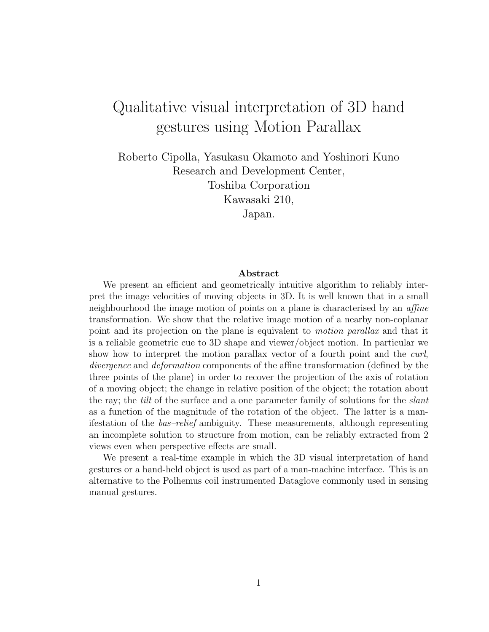# Qualitative visual interpretation of 3D hand gestures using Motion Parallax

Roberto Cipolla, Yasukasu Okamoto and Yoshinori Kuno Research and Development Center, Toshiba Corporation Kawasaki 210, Japan.

#### Abstract

We present an efficient and geometrically intuitive algorithm to reliably interpret the image velocities of moving objects in 3D. It is well known that in a small neighbourhood the image motion of points on a plane is characterised by an affine transformation. We show that the relative image motion of a nearby non-coplanar point and its projection on the plane is equivalent to motion parallax and that it is a reliable geometric cue to 3D shape and viewer/object motion. In particular we show how to interpret the motion parallax vector of a fourth point and the *curl*, divergence and deformation components of the affine transformation (defined by the three points of the plane) in order to recover the projection of the axis of rotation of a moving object; the change in relative position of the object; the rotation about the ray; the *tilt* of the surface and a one parameter family of solutions for the *slant* as a function of the magnitude of the rotation of the object. The latter is a manifestation of the bas–relief ambiguity. These measurements, although representing an incomplete solution to structure from motion, can be reliably extracted from 2 views even when perspective effects are small.

We present a real-time example in which the 3D visual interpretation of hand gestures or a hand-held object is used as part of a man-machine interface. This is an alternative to the Polhemus coil instrumented Dataglove commonly used in sensing manual gestures.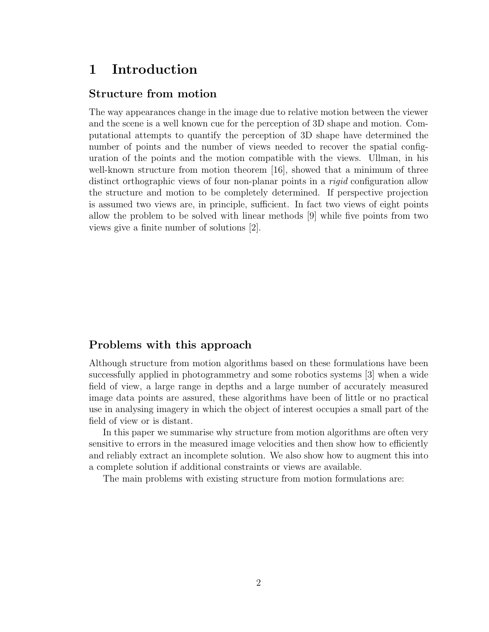# 1 Introduction

### Structure from motion

The way appearances change in the image due to relative motion between the viewer and the scene is a well known cue for the perception of 3D shape and motion. Computational attempts to quantify the perception of 3D shape have determined the number of points and the number of views needed to recover the spatial configuration of the points and the motion compatible with the views. Ullman, in his well-known structure from motion theorem [16], showed that a minimum of three distinct orthographic views of four non-planar points in a *rigid* configuration allow the structure and motion to be completely determined. If perspective projection is assumed two views are, in principle, sufficient. In fact two views of eight points allow the problem to be solved with linear methods [9] while five points from two views give a finite number of solutions [2].

### Problems with this approach

Although structure from motion algorithms based on these formulations have been successfully applied in photogrammetry and some robotics systems [3] when a wide field of view, a large range in depths and a large number of accurately measured image data points are assured, these algorithms have been of little or no practical use in analysing imagery in which the object of interest occupies a small part of the field of view or is distant.

In this paper we summarise why structure from motion algorithms are often very sensitive to errors in the measured image velocities and then show how to efficiently and reliably extract an incomplete solution. We also show how to augment this into a complete solution if additional constraints or views are available.

The main problems with existing structure from motion formulations are: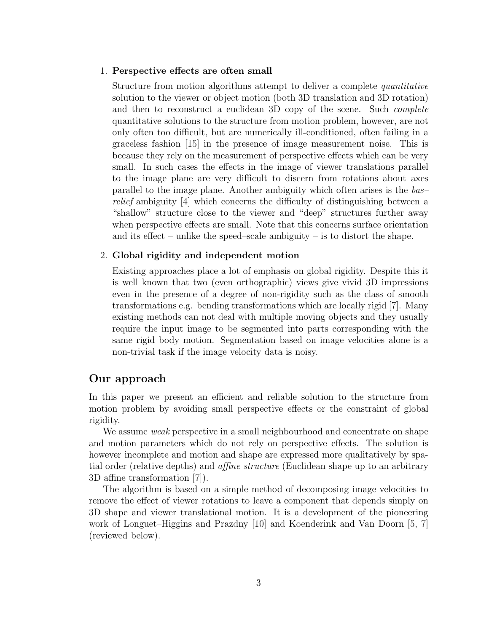#### 1. Perspective effects are often small

Structure from motion algorithms attempt to deliver a complete *quantitative* solution to the viewer or object motion (both 3D translation and 3D rotation) and then to reconstruct a euclidean 3D copy of the scene. Such *complete* quantitative solutions to the structure from motion problem, however, are not only often too difficult, but are numerically ill-conditioned, often failing in a graceless fashion [15] in the presence of image measurement noise. This is because they rely on the measurement of perspective effects which can be very small. In such cases the effects in the image of viewer translations parallel to the image plane are very difficult to discern from rotations about axes parallel to the image plane. Another ambiguity which often arises is the bas– relief ambiguity [4] which concerns the difficulty of distinguishing between a "shallow" structure close to the viewer and "deep" structures further away when perspective effects are small. Note that this concerns surface orientation and its effect – unlike the speed–scale ambiguity – is to distort the shape.

#### 2. Global rigidity and independent motion

Existing approaches place a lot of emphasis on global rigidity. Despite this it is well known that two (even orthographic) views give vivid 3D impressions even in the presence of a degree of non-rigidity such as the class of smooth transformations e.g. bending transformations which are locally rigid [7]. Many existing methods can not deal with multiple moving objects and they usually require the input image to be segmented into parts corresponding with the same rigid body motion. Segmentation based on image velocities alone is a non-trivial task if the image velocity data is noisy.

### Our approach

In this paper we present an efficient and reliable solution to the structure from motion problem by avoiding small perspective effects or the constraint of global rigidity.

We assume *weak* perspective in a small neighbourhood and concentrate on shape and motion parameters which do not rely on perspective effects. The solution is however incomplete and motion and shape are expressed more qualitatively by spatial order (relative depths) and affine structure (Euclidean shape up to an arbitrary 3D affine transformation [7]).

The algorithm is based on a simple method of decomposing image velocities to remove the effect of viewer rotations to leave a component that depends simply on 3D shape and viewer translational motion. It is a development of the pioneering work of Longuet–Higgins and Prazdny [10] and Koenderink and Van Doorn [5, 7] (reviewed below).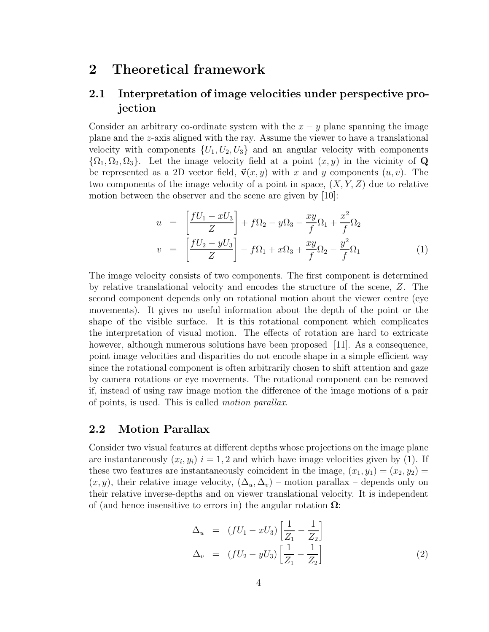### 2 Theoretical framework

### 2.1 Interpretation of image velocities under perspective projection

Consider an arbitrary co-ordinate system with the  $x - y$  plane spanning the image plane and the z-axis aligned with the ray. Assume the viewer to have a translational velocity with components  $\{U_1, U_2, U_3\}$  and an angular velocity with components  $\{\Omega_1, \Omega_2, \Omega_3\}$ . Let the image velocity field at a point  $(x, y)$  in the vicinity of Q be represented as a 2D vector field,  $\vec{v}(x, y)$  with x and y components  $(u, v)$ . The two components of the image velocity of a point in space,  $(X, Y, Z)$  due to relative motion between the observer and the scene are given by [10]:

$$
u = \left[\frac{fU_1 - xU_3}{Z}\right] + f\Omega_2 - y\Omega_3 - \frac{xy}{f}\Omega_1 + \frac{x^2}{f}\Omega_2
$$
  

$$
v = \left[\frac{fU_2 - yU_3}{Z}\right] - f\Omega_1 + x\Omega_3 + \frac{xy}{f}\Omega_2 - \frac{y^2}{f}\Omega_1
$$
 (1)

The image velocity consists of two components. The first component is determined by relative translational velocity and encodes the structure of the scene, Z. The second component depends only on rotational motion about the viewer centre (eye movements). It gives no useful information about the depth of the point or the shape of the visible surface. It is this rotational component which complicates the interpretation of visual motion. The effects of rotation are hard to extricate however, although numerous solutions have been proposed  $[11]$ . As a consequence, point image velocities and disparities do not encode shape in a simple efficient way since the rotational component is often arbitrarily chosen to shift attention and gaze by camera rotations or eye movements. The rotational component can be removed if, instead of using raw image motion the difference of the image motions of a pair of points, is used. This is called motion parallax.

#### 2.2 Motion Parallax

Consider two visual features at different depths whose projections on the image plane are instantaneously  $(x_i, y_i)$   $i = 1, 2$  and which have image velocities given by (1). If these two features are instantaneously coincident in the image,  $(x_1, y_1) = (x_2, y_2)$  $(x, y)$ , their relative image velocity,  $(\Delta_u, \Delta_v)$  – motion parallax – depends only on their relative inverse-depths and on viewer translational velocity. It is independent of (and hence insensitive to errors in) the angular rotation  $\Omega$ :

$$
\Delta_u = (fU_1 - xU_3) \left[ \frac{1}{Z_1} - \frac{1}{Z_2} \right] \n\Delta_v = (fU_2 - yU_3) \left[ \frac{1}{Z_1} - \frac{1}{Z_2} \right]
$$
\n(2)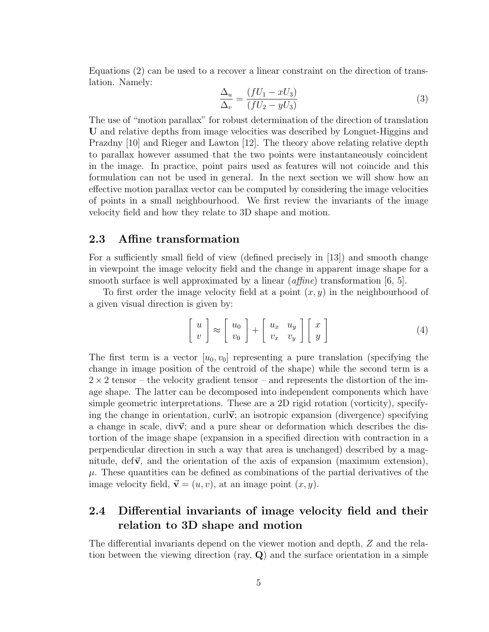Equations (2) can be used to a recover a linear constraint on the direction of translation. Namely:

$$
\frac{\Delta_u}{\Delta_v} = \frac{(fU_1 - xU_3)}{(fU_2 - yU_3)}\tag{3}
$$

The use of "motion parallax" for robust determination of the direction of translation U and relative depths from image velocities was described by Longuet-Higgins and Prazdny [10] and Rieger and Lawton [12]. The theory above relating relative depth to parallax however assumed that the two points were instantaneously coincident in the image. In practice, point pairs used as features will not coincide and this formulation can not be used in general. In the next section we will show how an effective motion parallax vector can be computed by considering the image velocities of points in a small neighbourhood. We first review the invariants of the image velocity field and how they relate to 3D shape and motion.

#### 2.3 Affine transformation

For a sufficiently small field of view (defined precisely in [13]) and smooth change in viewpoint the image velocity field and the change in apparent image shape for a smooth surface is well approximated by a linear  $(affine)$  transformation [6, 5].

To first order the image velocity field at a point  $(x, y)$  in the neighbourhood of a given visual direction is given by:

$$
\begin{bmatrix} u \\ v \end{bmatrix} \approx \begin{bmatrix} u_0 \\ v_0 \end{bmatrix} + \begin{bmatrix} u_x & u_y \\ v_x & v_y \end{bmatrix} \begin{bmatrix} x \\ y \end{bmatrix}
$$
 (4)

The first term is a vector  $[u_0, v_0]$  representing a pure translation (specifying the change in image position of the centroid of the shape) while the second term is a  $2 \times 2$  tensor – the velocity gradient tensor – and represents the distortion of the image shape. The latter can be decomposed into independent components which have simple geometric interpretations. These are a 2D rigid rotation (vorticity), specifying the change in orientation, curl $\vec{v}$ ; an isotropic expansion (divergence) specifying a change in scale, div $\vec{v}$ ; and a pure shear or deformation which describes the distortion of the image shape (expansion in a specified direction with contraction in a perpendicular direction in such a way that area is unchanged) described by a magnitude,  $\text{def}\vec{v}$ , and the orientation of the axis of expansion (maximum extension),  $\mu$ . These quantities can be defined as combinations of the partial derivatives of the image velocity field,  $\vec{v} = (u, v)$ , at an image point  $(x, y)$ .

### 2.4 Differential invariants of image velocity field and their relation to 3D shape and motion

The differential invariants depend on the viewer motion and depth, Z and the relation between the viewing direction (ray,  $Q$ ) and the surface orientation in a simple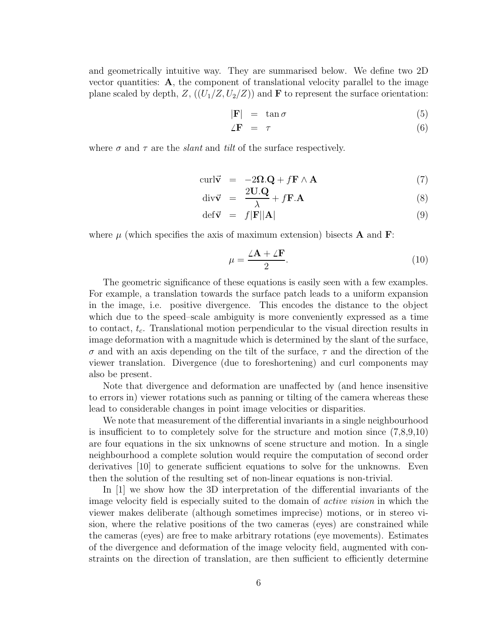and geometrically intuitive way. They are summarised below. We define two 2D vector quantities: A, the component of translational velocity parallel to the image plane scaled by depth,  $Z$ ,  $((U_1/Z, U_2/Z))$  and **F** to represent the surface orientation:

$$
|\mathbf{F}| = \tan \sigma \tag{5}
$$

$$
\angle \mathbf{F} = \tau \tag{6}
$$

where  $\sigma$  and  $\tau$  are the *slant* and *tilt* of the surface respectively.

$$
\text{curl}\vec{\mathbf{v}} = -2\Omega \cdot \mathbf{Q} + f\mathbf{F} \wedge \mathbf{A} \tag{7}
$$

$$
\operatorname{div}\vec{\mathbf{v}} = \frac{2\mathbf{U}.\mathbf{Q}}{\lambda} + f\mathbf{F}.\mathbf{A}
$$
 (8)

$$
\det \vec{\mathbf{v}} = f|\mathbf{F}||\mathbf{A}| \tag{9}
$$

where  $\mu$  (which specifies the axis of maximum extension) bisects **A** and **F**:

$$
\mu = \frac{\angle \mathbf{A} + \angle \mathbf{F}}{2}.
$$
\n(10)

The geometric significance of these equations is easily seen with a few examples. For example, a translation towards the surface patch leads to a uniform expansion in the image, i.e. positive divergence. This encodes the distance to the object which due to the speed–scale ambiguity is more conveniently expressed as a time to contact,  $t_c$ . Translational motion perpendicular to the visual direction results in image deformation with a magnitude which is determined by the slant of the surface,  $\sigma$  and with an axis depending on the tilt of the surface,  $\tau$  and the direction of the viewer translation. Divergence (due to foreshortening) and curl components may also be present.

Note that divergence and deformation are unaffected by (and hence insensitive to errors in) viewer rotations such as panning or tilting of the camera whereas these lead to considerable changes in point image velocities or disparities.

We note that measurement of the differential invariants in a single neighbourhood is insufficient to to completely solve for the structure and motion since  $(7,8,9,10)$ are four equations in the six unknowns of scene structure and motion. In a single neighbourhood a complete solution would require the computation of second order derivatives [10] to generate sufficient equations to solve for the unknowns. Even then the solution of the resulting set of non-linear equations is non-trivial.

In [1] we show how the 3D interpretation of the differential invariants of the image velocity field is especially suited to the domain of active vision in which the viewer makes deliberate (although sometimes imprecise) motions, or in stereo vision, where the relative positions of the two cameras (eyes) are constrained while the cameras (eyes) are free to make arbitrary rotations (eye movements). Estimates of the divergence and deformation of the image velocity field, augmented with constraints on the direction of translation, are then sufficient to efficiently determine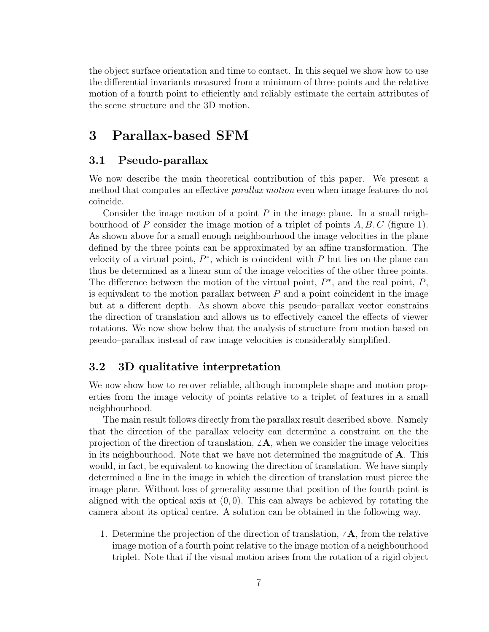the object surface orientation and time to contact. In this sequel we show how to use the differential invariants measured from a minimum of three points and the relative motion of a fourth point to efficiently and reliably estimate the certain attributes of the scene structure and the 3D motion.

### 3 Parallax-based SFM

### 3.1 Pseudo-parallax

We now describe the main theoretical contribution of this paper. We present a method that computes an effective parallax motion even when image features do not coincide.

Consider the image motion of a point  $P$  in the image plane. In a small neighbourhood of P consider the image motion of a triplet of points  $A, B, C$  (figure 1). As shown above for a small enough neighbourhood the image velocities in the plane defined by the three points can be approximated by an affine transformation. The velocity of a virtual point,  $P^*$ , which is coincident with P but lies on the plane can thus be determined as a linear sum of the image velocities of the other three points. The difference between the motion of the virtual point,  $P^*$ , and the real point,  $P$ , is equivalent to the motion parallax between  $P$  and a point coincident in the image but at a different depth. As shown above this pseudo–parallax vector constrains the direction of translation and allows us to effectively cancel the effects of viewer rotations. We now show below that the analysis of structure from motion based on pseudo–parallax instead of raw image velocities is considerably simplified.

### 3.2 3D qualitative interpretation

We now show how to recover reliable, although incomplete shape and motion properties from the image velocity of points relative to a triplet of features in a small neighbourhood.

The main result follows directly from the parallax result described above. Namely that the direction of the parallax velocity can determine a constraint on the the projection of the direction of translation,  $\angle A$ , when we consider the image velocities in its neighbourhood. Note that we have not determined the magnitude of A. This would, in fact, be equivalent to knowing the direction of translation. We have simply determined a line in the image in which the direction of translation must pierce the image plane. Without loss of generality assume that position of the fourth point is aligned with the optical axis at  $(0, 0)$ . This can always be achieved by rotating the camera about its optical centre. A solution can be obtained in the following way.

1. Determine the projection of the direction of translation,  $\angle A$ , from the relative image motion of a fourth point relative to the image motion of a neighbourhood triplet. Note that if the visual motion arises from the rotation of a rigid object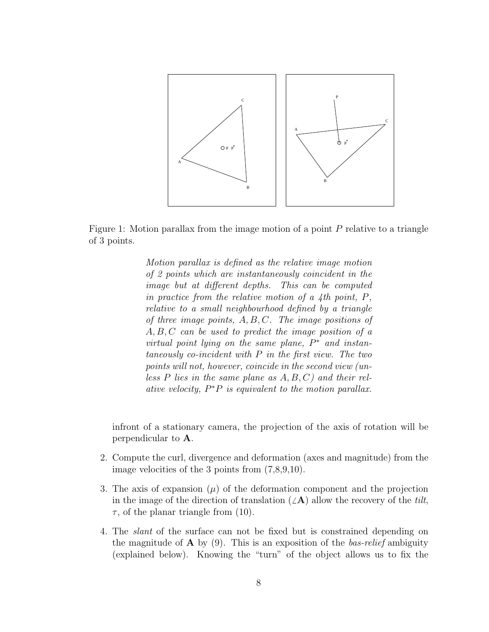

Figure 1: Motion parallax from the image motion of a point P relative to a triangle of 3 points.

Motion parallax is defined as the relative image motion of 2 points which are instantaneously coincident in the image but at different depths. This can be computed in practice from the relative motion of a 4th point, P, relative to a small neighbourhood defined by a triangle of three image points,  $A, B, C$ . The image positions of A, B, C can be used to predict the image position of a virtual point lying on the same plane,  $P^*$  and instantaneously co-incident with P in the first view. The two points will not, however, coincide in the second view (unless  $P$  lies in the same plane as  $A, B, C$  and their relative velocity,  $P^*P$  is equivalent to the motion parallax.

infront of a stationary camera, the projection of the axis of rotation will be perpendicular to A.

- 2. Compute the curl, divergence and deformation (axes and magnitude) from the image velocities of the 3 points from (7,8,9,10).
- 3. The axis of expansion  $(\mu)$  of the deformation component and the projection in the image of the direction of translation  $(\angle A)$  allow the recovery of the tilt,  $\tau$ , of the planar triangle from (10).
- 4. The slant of the surface can not be fixed but is constrained depending on the magnitude of  $\bf{A}$  by (9). This is an exposition of the *bas-relief* ambiguity (explained below). Knowing the "turn" of the object allows us to fix the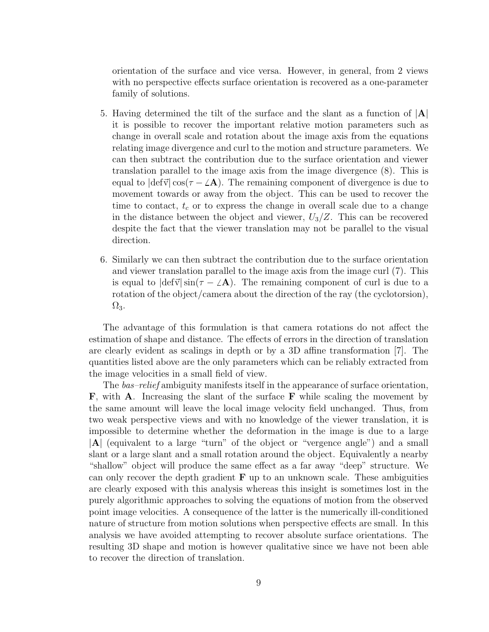orientation of the surface and vice versa. However, in general, from 2 views with no perspective effects surface orientation is recovered as a one-parameter family of solutions.

- 5. Having determined the tilt of the surface and the slant as a function of  $|A|$ it is possible to recover the important relative motion parameters such as change in overall scale and rotation about the image axis from the equations relating image divergence and curl to the motion and structure parameters. We can then subtract the contribution due to the surface orientation and viewer translation parallel to the image axis from the image divergence (8). This is equal to  $|\text{def}\vec{v}| \cos(\tau - \angle A)$ . The remaining component of divergence is due to movement towards or away from the object. This can be used to recover the time to contact,  $t_c$  or to express the change in overall scale due to a change in the distance between the object and viewer,  $U_3/Z$ . This can be recovered despite the fact that the viewer translation may not be parallel to the visual direction.
- 6. Similarly we can then subtract the contribution due to the surface orientation and viewer translation parallel to the image axis from the image curl (7). This is equal to  $|def\vec{v}|sin(\tau - \angle A)$ . The remaining component of curl is due to a rotation of the object/camera about the direction of the ray (the cyclotorsion),  $\Omega_3$ .

The advantage of this formulation is that camera rotations do not affect the estimation of shape and distance. The effects of errors in the direction of translation are clearly evident as scalings in depth or by a 3D affine transformation [7]. The quantities listed above are the only parameters which can be reliably extracted from the image velocities in a small field of view.

The *bas–relief* ambiguity manifests itself in the appearance of surface orientation, F, with A. Increasing the slant of the surface F while scaling the movement by the same amount will leave the local image velocity field unchanged. Thus, from two weak perspective views and with no knowledge of the viewer translation, it is impossible to determine whether the deformation in the image is due to a large |A| (equivalent to a large "turn" of the object or "vergence angle") and a small slant or a large slant and a small rotation around the object. Equivalently a nearby "shallow" object will produce the same effect as a far away "deep" structure. We can only recover the depth gradient  $\bf{F}$  up to an unknown scale. These ambiguities are clearly exposed with this analysis whereas this insight is sometimes lost in the purely algorithmic approaches to solving the equations of motion from the observed point image velocities. A consequence of the latter is the numerically ill-conditioned nature of structure from motion solutions when perspective effects are small. In this analysis we have avoided attempting to recover absolute surface orientations. The resulting 3D shape and motion is however qualitative since we have not been able to recover the direction of translation.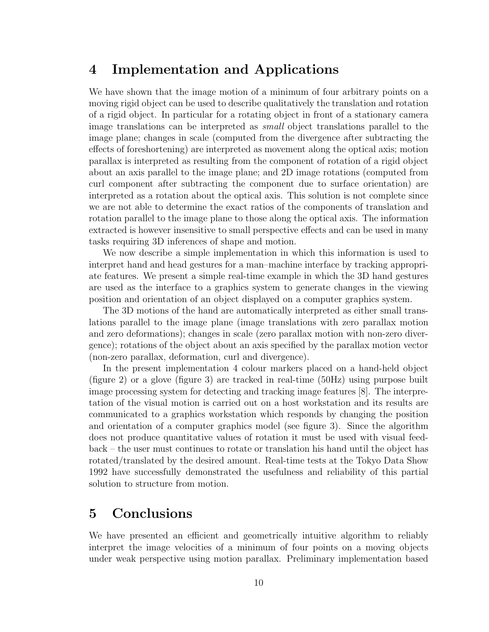## 4 Implementation and Applications

We have shown that the image motion of a minimum of four arbitrary points on a moving rigid object can be used to describe qualitatively the translation and rotation of a rigid object. In particular for a rotating object in front of a stationary camera image translations can be interpreted as small object translations parallel to the image plane; changes in scale (computed from the divergence after subtracting the effects of foreshortening) are interpreted as movement along the optical axis; motion parallax is interpreted as resulting from the component of rotation of a rigid object about an axis parallel to the image plane; and 2D image rotations (computed from curl component after subtracting the component due to surface orientation) are interpreted as a rotation about the optical axis. This solution is not complete since we are not able to determine the exact ratios of the components of translation and rotation parallel to the image plane to those along the optical axis. The information extracted is however insensitive to small perspective effects and can be used in many tasks requiring 3D inferences of shape and motion.

We now describe a simple implementation in which this information is used to interpret hand and head gestures for a man–machine interface by tracking appropriate features. We present a simple real-time example in which the 3D hand gestures are used as the interface to a graphics system to generate changes in the viewing position and orientation of an object displayed on a computer graphics system.

The 3D motions of the hand are automatically interpreted as either small translations parallel to the image plane (image translations with zero parallax motion and zero deformations); changes in scale (zero parallax motion with non-zero divergence); rotations of the object about an axis specified by the parallax motion vector (non-zero parallax, deformation, curl and divergence).

In the present implementation 4 colour markers placed on a hand-held object (figure 2) or a glove (figure 3) are tracked in real-time (50Hz) using purpose built image processing system for detecting and tracking image features [8]. The interpretation of the visual motion is carried out on a host workstation and its results are communicated to a graphics workstation which responds by changing the position and orientation of a computer graphics model (see figure 3). Since the algorithm does not produce quantitative values of rotation it must be used with visual feedback – the user must continues to rotate or translation his hand until the object has rotated/translated by the desired amount. Real-time tests at the Tokyo Data Show 1992 have successfully demonstrated the usefulness and reliability of this partial solution to structure from motion.

# 5 Conclusions

We have presented an efficient and geometrically intuitive algorithm to reliably interpret the image velocities of a minimum of four points on a moving objects under weak perspective using motion parallax. Preliminary implementation based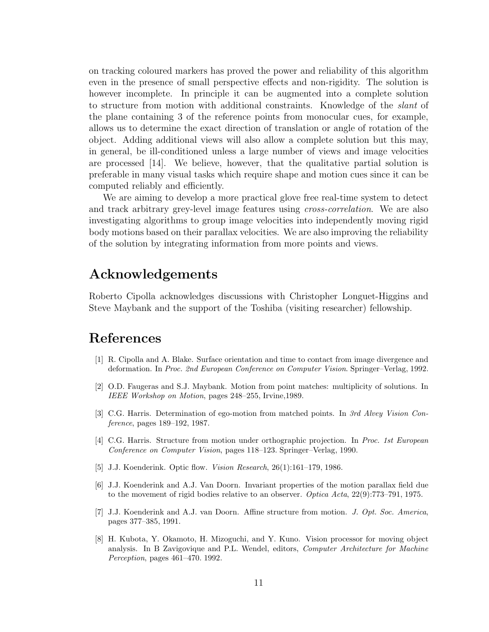on tracking coloured markers has proved the power and reliability of this algorithm even in the presence of small perspective effects and non-rigidity. The solution is however incomplete. In principle it can be augmented into a complete solution to structure from motion with additional constraints. Knowledge of the slant of the plane containing 3 of the reference points from monocular cues, for example, allows us to determine the exact direction of translation or angle of rotation of the object. Adding additional views will also allow a complete solution but this may, in general, be ill-conditioned unless a large number of views and image velocities are processed [14]. We believe, however, that the qualitative partial solution is preferable in many visual tasks which require shape and motion cues since it can be computed reliably and efficiently.

We are aiming to develop a more practical glove free real-time system to detect and track arbitrary grey-level image features using *cross-correlation*. We are also investigating algorithms to group image velocities into independently moving rigid body motions based on their parallax velocities. We are also improving the reliability of the solution by integrating information from more points and views.

### Acknowledgements

Roberto Cipolla acknowledges discussions with Christopher Longuet-Higgins and Steve Maybank and the support of the Toshiba (visiting researcher) fellowship.

## References

- [1] R. Cipolla and A. Blake. Surface orientation and time to contact from image divergence and deformation. In Proc. 2nd European Conference on Computer Vision. Springer–Verlag, 1992.
- [2] O.D. Faugeras and S.J. Maybank. Motion from point matches: multiplicity of solutions. In IEEE Workshop on Motion, pages 248–255, Irvine,1989.
- [3] C.G. Harris. Determination of ego-motion from matched points. In 3rd Alvey Vision Conference, pages 189–192, 1987.
- [4] C.G. Harris. Structure from motion under orthographic projection. In Proc. 1st European Conference on Computer Vision, pages 118–123. Springer–Verlag, 1990.
- [5] J.J. Koenderink. Optic flow. *Vision Research*, 26(1):161–179, 1986.
- [6] J.J. Koenderink and A.J. Van Doorn. Invariant properties of the motion parallax field due to the movement of rigid bodies relative to an observer. Optica Acta, 22(9):773–791, 1975.
- [7] J.J. Koenderink and A.J. van Doorn. Affine structure from motion. J. Opt. Soc. America, pages 377–385, 1991.
- [8] H. Kubota, Y. Okamoto, H. Mizoguchi, and Y. Kuno. Vision processor for moving object analysis. In B Zavigovique and P.L. Wendel, editors, Computer Architecture for Machine Perception, pages 461–470. 1992.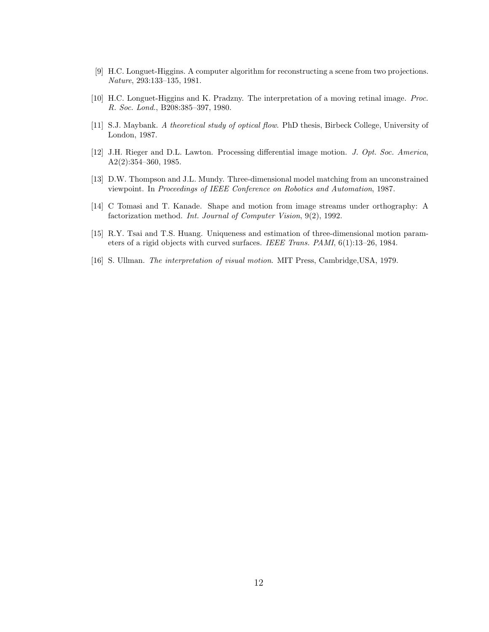- [9] H.C. Longuet-Higgins. A computer algorithm for reconstructing a scene from two projections. Nature, 293:133–135, 1981.
- [10] H.C. Longuet-Higgins and K. Pradzny. The interpretation of a moving retinal image. Proc. R. Soc. Lond., B208:385–397, 1980.
- [11] S.J. Maybank. A theoretical study of optical flow. PhD thesis, Birbeck College, University of London, 1987.
- [12] J.H. Rieger and D.L. Lawton. Processing differential image motion. J. Opt. Soc. America, A2(2):354–360, 1985.
- [13] D.W. Thompson and J.L. Mundy. Three-dimensional model matching from an unconstrained viewpoint. In Proceedings of IEEE Conference on Robotics and Automation, 1987.
- [14] C Tomasi and T. Kanade. Shape and motion from image streams under orthography: A factorization method. Int. Journal of Computer Vision, 9(2), 1992.
- [15] R.Y. Tsai and T.S. Huang. Uniqueness and estimation of three-dimensional motion parameters of a rigid objects with curved surfaces. IEEE Trans. PAMI, 6(1):13–26, 1984.
- [16] S. Ullman. The interpretation of visual motion. MIT Press, Cambridge,USA, 1979.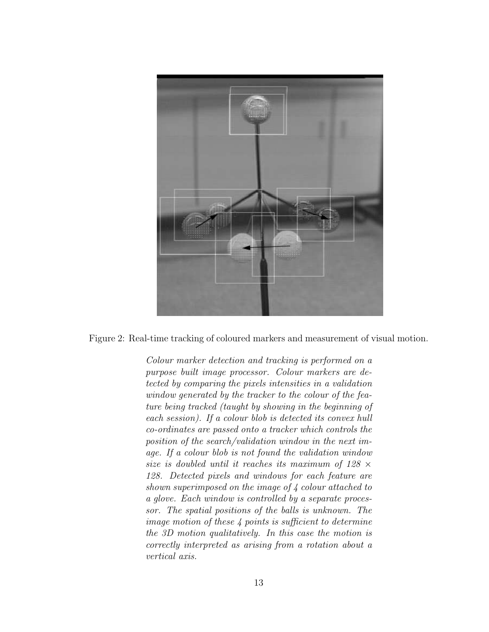

Figure 2: Real-time tracking of coloured markers and measurement of visual motion.

Colour marker detection and tracking is performed on a purpose built image processor. Colour markers are detected by comparing the pixels intensities in a validation window generated by the tracker to the colour of the feature being tracked (taught by showing in the beginning of each session). If a colour blob is detected its convex hull co-ordinates are passed onto a tracker which controls the position of the search/validation window in the next image. If a colour blob is not found the validation window size is doubled until it reaches its maximum of  $128 \times$ 128. Detected pixels and windows for each feature are shown superimposed on the image of 4 colour attached to a glove. Each window is controlled by a separate processor. The spatial positions of the balls is unknown. The image motion of these 4 points is sufficient to determine the 3D motion qualitatively. In this case the motion is correctly interpreted as arising from a rotation about a vertical axis.